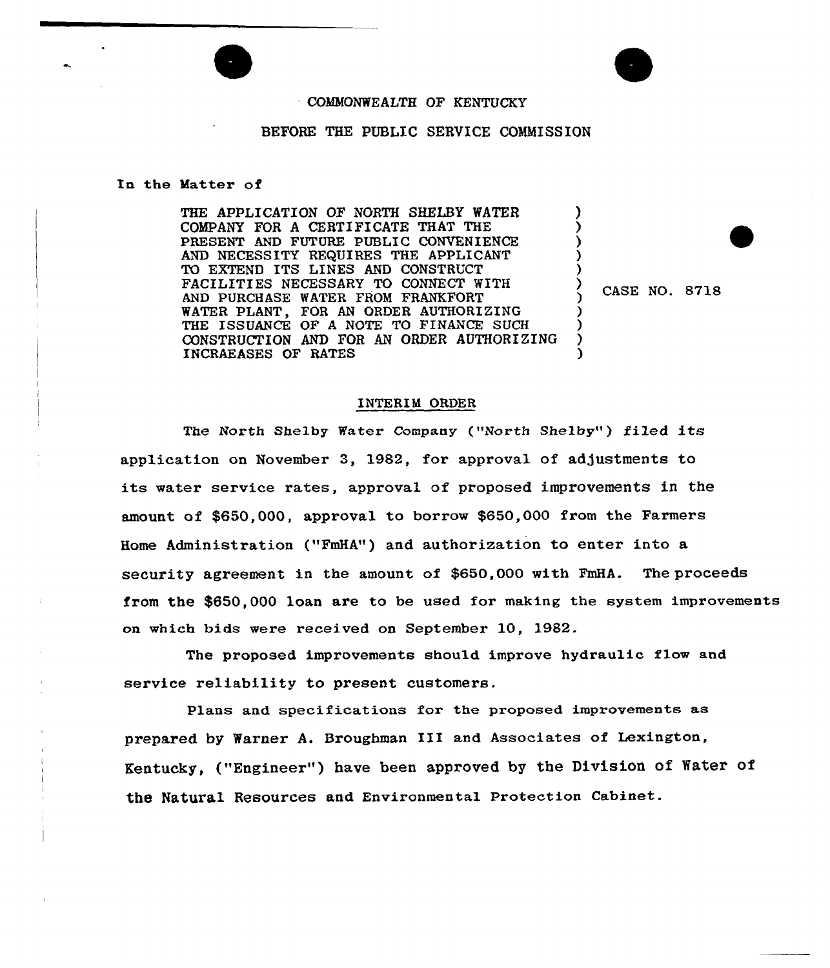## COMMONWEALTH OF KENTUCKY

## BEFORE THE PUBLIC SERVICE COMMISSION

## ln the Matter of

THE APPLICATION OF NORTH SHELBY WATER COMPANY FOR A CERTIFICATE THAT THE PRESENT AND FUTURE PUBLIC CONVENIENCE AND NECESSITY REQUIRES THE APPLICANT TO EXTEND ITS LINES AND CONSTRUCT FACILITIES NECESSARY TO CONNECT WITH AND PURCHASE WATER FROM FRANKFORT WATER PLANT, FOR AN ORDER AUTHORIZING THE ISSUANCE OF A NOTE TO FINANCE SUCH CONSTRUCTION AND FOR AN ORDER AUTHORIZING INCRAEASES OF RATES

CASE NO. 8718

)  $\boldsymbol{\mathfrak{z}}$ ) ) ) ) )

) )  $\sum_{i=1}^{n}$ )

## INTERIM ORDER

The North Shelby Water Company ("North Shelby") filed its application on November 3, 1982, for approval of adjustments to its water service rates, approval of proposed improvements in the amount of \$650,000, approval to borrow \$650,000 from the Farmers Home Administration ("FmHA") and authorization to enter into a security agreement in the amount of \$650,000 with FmHA. The proceeds from the \$650,000 loan are to be used for making the system improvements on which bids were received on September 10, 1982.

The proposed improvements should improve hydraulic flow and service reliability to present customers.

Plans and specifications for the proposed improvements as prepared by Warner A. Broughman III and Associates of Lexington, Kentucky, ("Engineer") have been approved by the Division of Water of the Natural Resources and Environmental Protection Cabinet.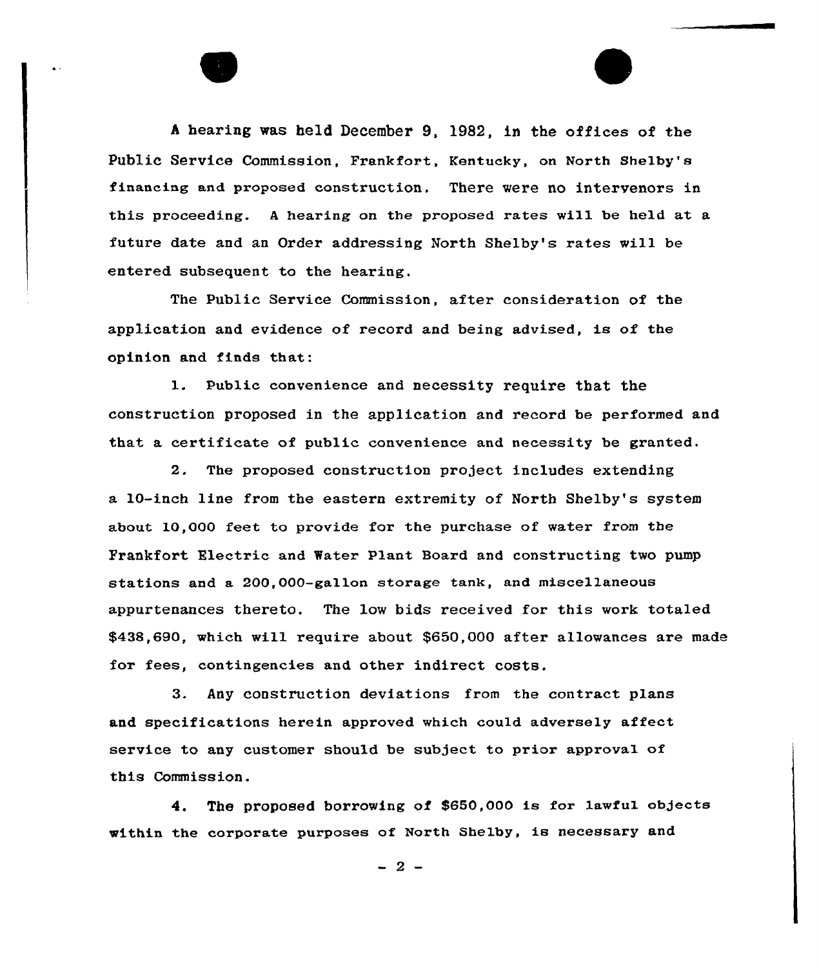<sup>A</sup> hearing was held December 9, 1982, in the offices of the Public Service Commission, Frankfort, Kentucky, on North Shelby's financing and proposed construction. There were no intervenors in this proceeding. <sup>A</sup> hearing on the proposed rates will be held at a future date and an Order addressing North Shelby's rates will be entered subsequent to the hearing.

The Public Service Commission, after consideration of the application and evidence of record and being advised, is of the opinion and finds that:

1. Public convenience and necessity require that the construction proposed in the application and record be performed and that a cextificate of public convenience and necessity be granted.

2. The proposed construction project includes extending a 10-inch line from the eastern extremity of North Shelby's system about  $10,000$  feet to provide for the purchase of water from the Prankfort Electric and Water Plant Board and constructing two pump stations and a 200,000-gallon storage tank, and miscellaneous appurtenances thereto. The low bids received for this work totaled \$438,690, which will require about \$650,000 after allowances are made fox'ees, contingencies and other indirect costs.

3. Any construction deviations from the contract plans and specifications herein approved which could adversely affect service to any customer should be subject to prior approval of this Commission.

4. The proposed borrowing of \$650,000 is for lawful objects within the corporate purposes of North Shelby, is necessary and

 $-2-$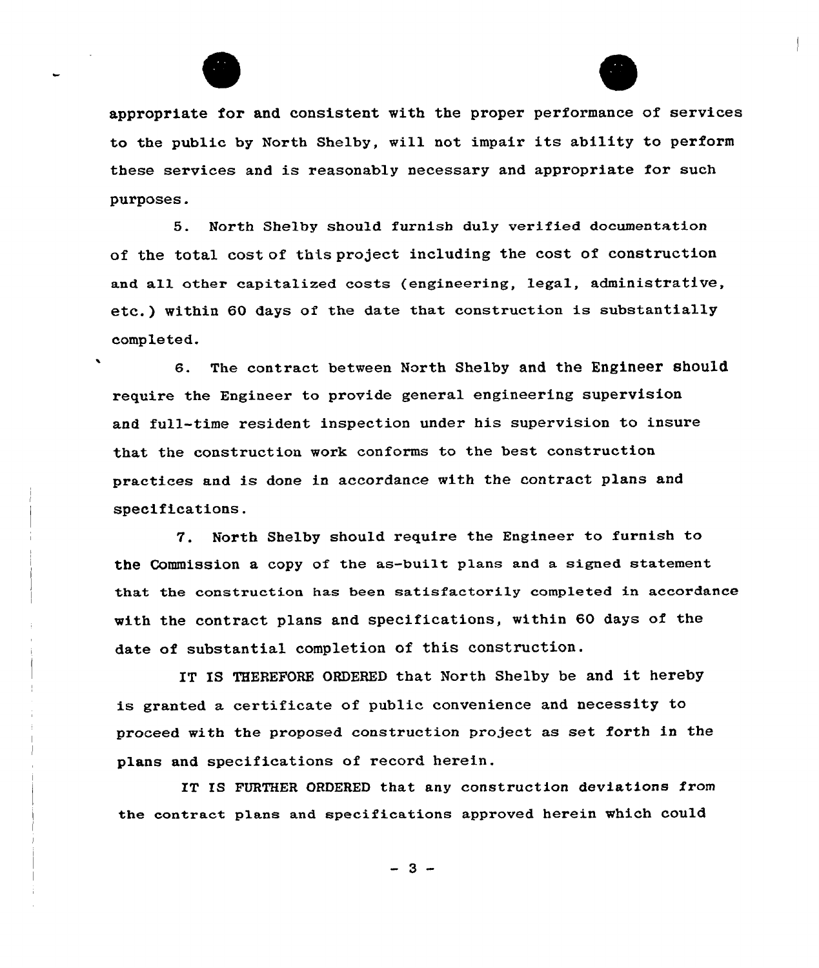



appropriate for and consistent with the proper performance of services to the public by North Shelby, will not impair its ability to perform these services and is reasonably necessary and appropriate for such purposes.

5. North Shelby should furnish duly verified documentation of the total cost of this project including the cost of construction and all other capitalized costs (engineering, legal, administrative, etc.) within 60 days of the date that construction is substantially completed.

6. The contract between North Shelby and the Engineer should, require the Engineer to provide general engineering supervision and full-time resident inspection under his supervision to insure that the construction work conforms to the best construction practices and is done in accordance with the contract plans and specifications.

7. North Shelby should require the Engineer to furnish to the Commission a copy of the as-built plans and a signed statement that the construction has been satisfactorily completed in accordance with the contract plans and specifications, within 60 days of the date of substantial completion of this construction.

IT IS THEREFORE ORDERED that North Shelby be and it hereby is granted a certificate of public convenience and necessity to proceed with the proposed construction project as set forth in the plans and specifications of record herein.

IT IS FURTHER ORDERED that any construction deviations from the contract plans and specifications approved herein which could

 $-3 -$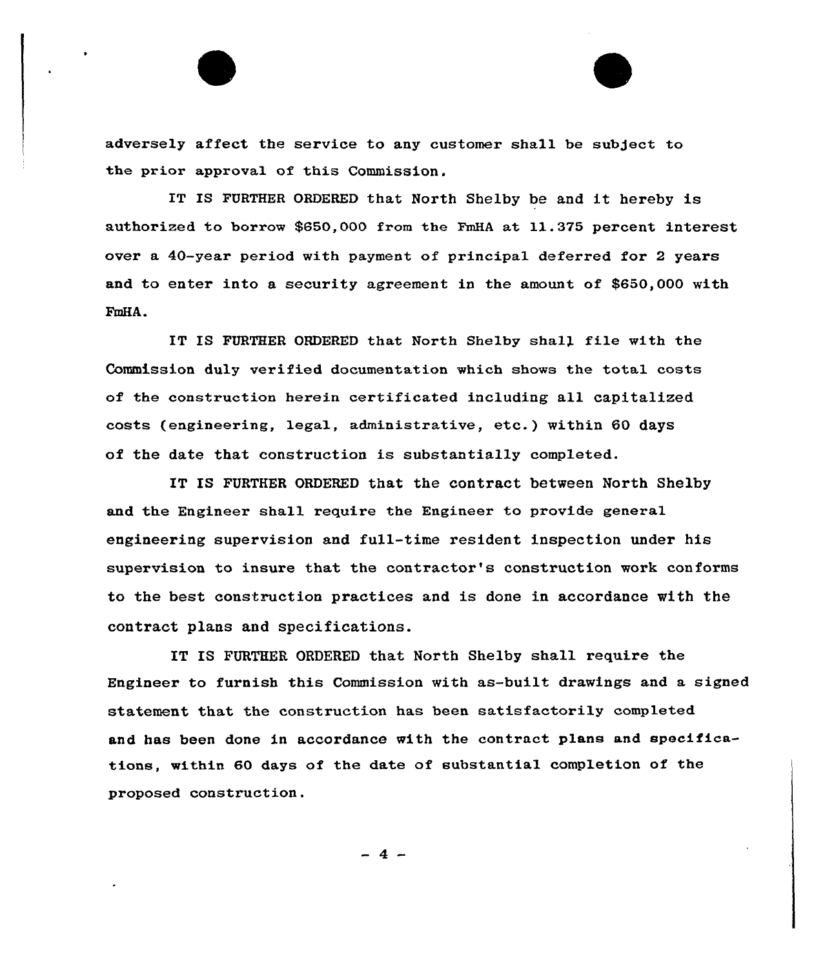adversely affect the service to any customer shall be subject to the prior approval of this Commission.

IT IS FURTHER ORDERED that North Shelby be and it hereby is authorized to borrow \$850,000 from the FmHA at 11.375 percent interest over a 40-year period with payment of principal deferred for 2 years and to enter into a security agreement in the amount of \$650,000 with FmHA.

IT IS FURTHER ORDERED that North Shelby shall file with the Commission duly verified documentation which shows the total costs of the construction herein cextificated including all capitalized costs (engineering, legal, administrative, etc.) within 60 days of the date that construction is substantially completed.

IT IS FURTHER ORDERED that the contract between North Shelby and the Engineer shall require the Engineer to provide general engineering supervision and full-time resident inspection under his supervision to insure that the contractor's construction work conforms to the best construction practices and is done in accordance with the contract plans and specifications.

IT IS FURTHER ORDERED that North Shelby shall require the Engineer to furnish this Commission with as-built drawings and a signed statement that the construction has been satisfactorily completed and has been done in accordance with the contract plans and specifications, within 60 days of the date of substantial completion of the proposed construction.

 $-4-$